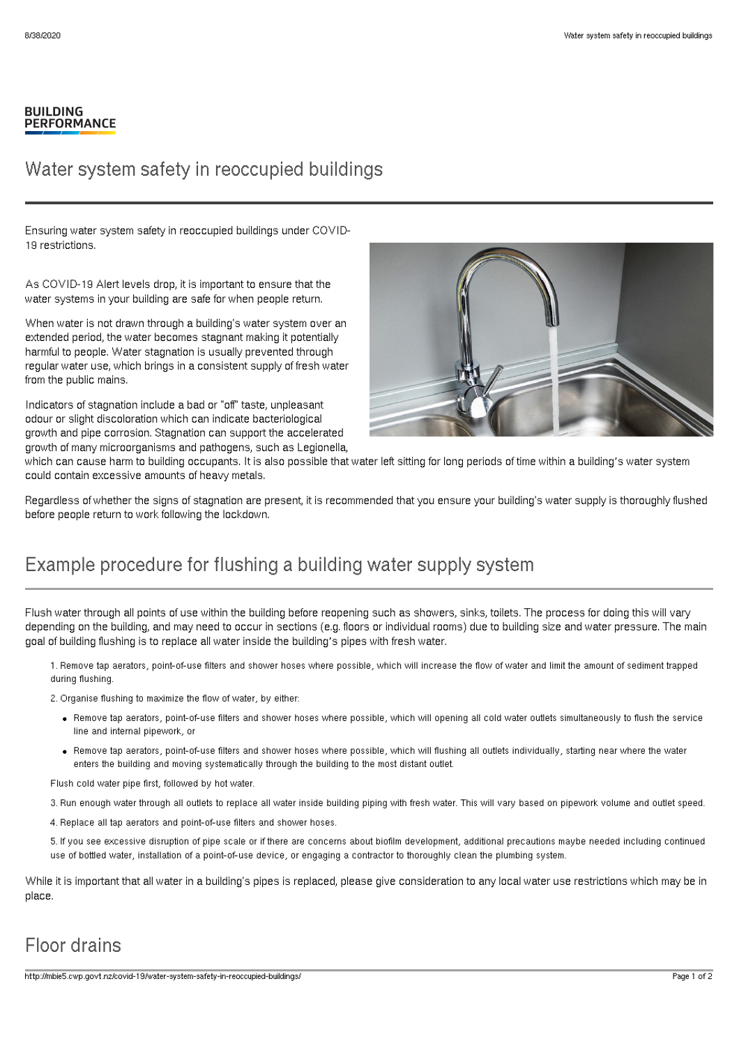#### **BUILDING PERFORMANCE**

#### Water system safety in reoccupied buildings

Ensuring water system safety in reoccupied buildings under COVID-19 restrictions.

As COVID-19 Alert levels drop, it is important to ensure that the water systems in your building are safe for when people return.

When water is not drawn through a building's water system over an extended period, the water becomes stagnant making it potentially harmful to people. Water stagnation is usually prevented through regular water use, which brings in a consistent supply of fresh water from the public mains.

Indicators of stagnation include a bad or "off" taste, unpleasant odour or slight discoloration which can indicate bacteriological growth and pipe corrosion. Stagnation can support the accelerated growth of many microorganisms and pathogens, such as Legionella,



which can cause harm to building occupants. It is also possible that water left sitting for long periods of time within a building's water system could contain excessive amounts of heavy metals.

Regardless of whether the signs of stagnation are present, it is recommended that you ensure your building's water supply is thoroughly flushed before people return to work following the lockdown.

## Example procedure for flushing a building water supply system

Flush water through all points of use within the building before reopening such as showers, sinks, toilets. The process for doing this will vary depending on the building, and may need to occur in sections (e.g. floors or individual rooms) due to building size and water pressure. The main goal of building flushing is to replace all water inside the building's pipes with fresh water.

1. Remove tap aerators, point-of-use filters and shower hoses where possible, which will increase the flow of water and limit the amount of sediment trapped during flushing.

2. Organise flushing to maximize the flow of water, by either:

- Remove tap aerators, point-of-use filters and shower hoses where possible, which will opening all cold water outlets simultaneously to flush the service line and internal pipework, or
- Remove tap aerators, point-of-use filters and shower hoses where possible, which will flushing all outlets individually, starting near where the water enters the building and moving systematically through the building to the most distant outlet.

Flush cold water pipe first, followed by hot water.

3. Run enough water through all outlets to replace all water inside building piping with fresh water. This will vary based on pipework volume and outlet speed.

4. Replace all tap aerators and point-of-use filters and shower hoses.

5. If you see excessive disruption of pipe scale or if there are concerns about biofilm development, additional precautions maybe needed including continued use of bottled water, installation of a point-of-use device, or engaging a contractor to thoroughly clean the plumbing system.

While it is important that all water in a building's pipes is replaced, please give consideration to any local water use restrictions which may be in place.

## Floor drains

http://mbie5.cwp.govt.nz/covid-19/water-system-safety-in-reoccupied-buildings/ Page 1 of 2